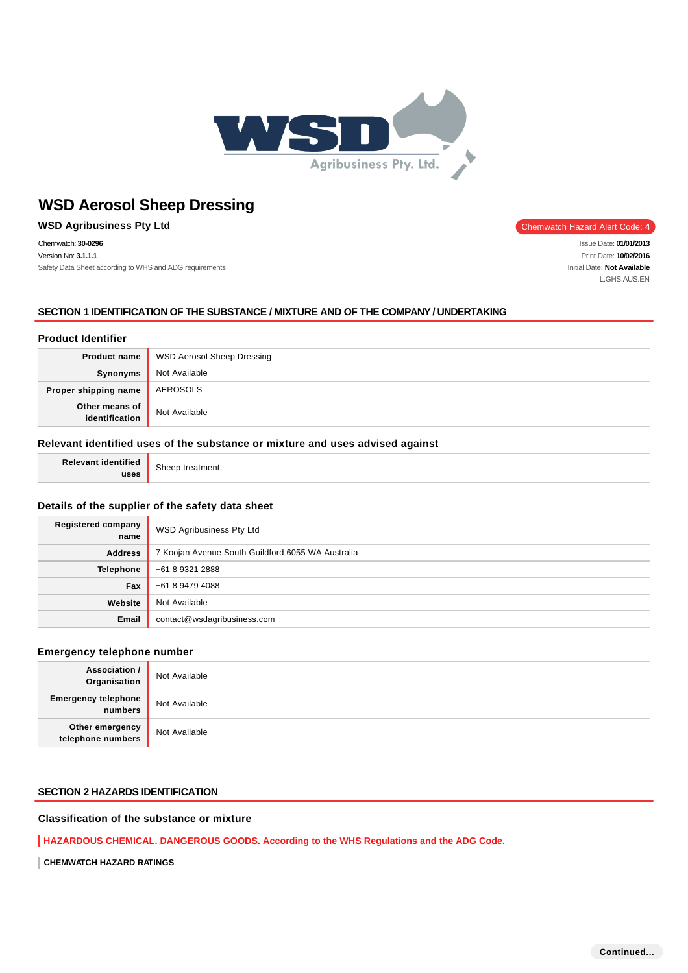

# **WSD Agribusiness Pty Ltd Chemwatch Hazard Alert Code: 4** Chemwatch Hazard Alert Code: 4

Chemwatch: **30-0296** Version No: **3.1.1.1** Safety Data Sheet according to WHS and ADG requirements

Issue Date: **01/01/2013** Print Date: **10/02/2016** Initial Date: **Not Available** L.GHS.AUS.EN

#### **SECTION 1 IDENTIFICATION OF THE SUBSTANCE / MIXTURE AND OF THE COMPANY / UNDERTAKING**

## **Product Identifier**

| <b>Product name</b>              | <b>WSD Aerosol Sheep Dressing</b> |
|----------------------------------|-----------------------------------|
| Synonyms                         | Not Available                     |
| Proper shipping name             | AEROSOLS                          |
| Other means of<br>identification | Not Available                     |

#### **Relevant identified uses of the substance or mixture and uses advised against**

**Relevant identified uses**

Sheep treatment.

#### **Details of the supplier of the safety data sheet**

| <b>Registered company</b><br>name | WSD Agribusiness Pty Ltd                          |
|-----------------------------------|---------------------------------------------------|
| <b>Address</b>                    | 7 Koojan Avenue South Guildford 6055 WA Australia |
| <b>Telephone</b>                  | +61 8 9321 2888                                   |
| Fax                               | +61 8 9479 4088                                   |
| Website                           | Not Available                                     |
| <b>Email</b>                      | contact@wsdagribusiness.com                       |

#### **Emergency telephone number**

| <b>Association /</b><br>Organisation  | Not Available |
|---------------------------------------|---------------|
| <b>Emergency telephone</b><br>numbers | Not Available |
| Other emergency<br>telephone numbers  | Not Available |

# **SECTION 2 HAZARDS IDENTIFICATION**

# **Classification of the substance or mixture**

**HAZARDOUS CHEMICAL. DANGEROUS GOODS. According to the WHS Regulations and the ADG Code.**

**CHEMWATCH HAZARD RATINGS**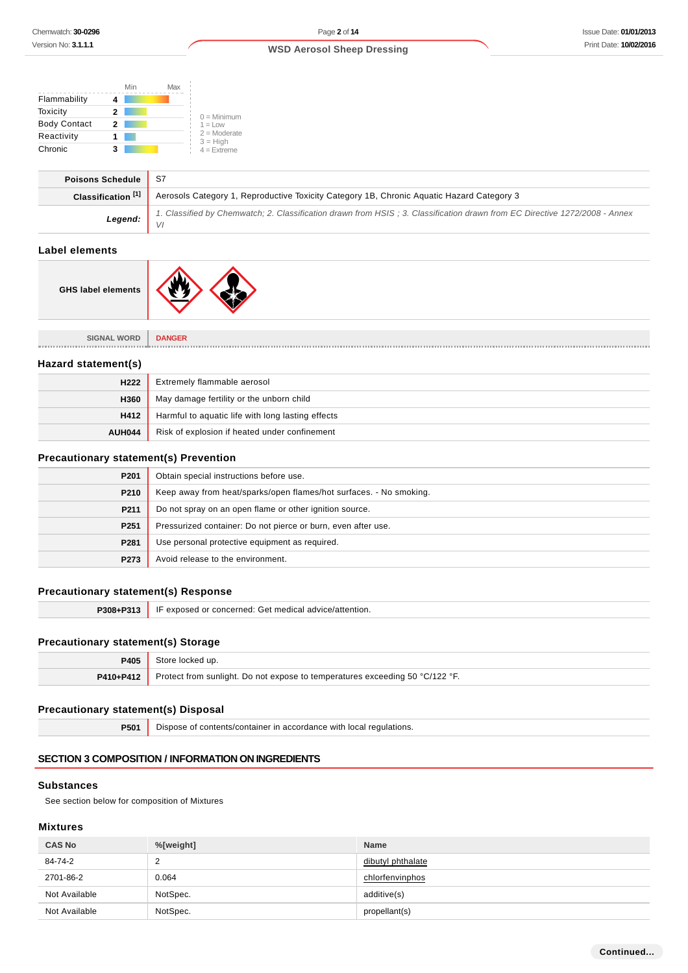|                       | Min                                                    | Max                                                                                                                              |  |
|-----------------------|--------------------------------------------------------|----------------------------------------------------------------------------------------------------------------------------------|--|
| Flammability          | 4                                                      |                                                                                                                                  |  |
| Toxicity              | $\mathbf{2}$                                           | $0 =$ Minimum                                                                                                                    |  |
| <b>Body Contact</b>   | 2 <sup>1</sup>                                         | $1 = Low$                                                                                                                        |  |
| Reactivity            | $\mathbf{1}$                                           | $2 =$ Moderate<br>$3 = High$                                                                                                     |  |
| Chronic               | 3                                                      | $4$ = Extreme                                                                                                                    |  |
|                       | <b>Poisons Schedule</b>                                | S7                                                                                                                               |  |
|                       | Classification <sup>[1]</sup>                          | Aerosols Category 1, Reproductive Toxicity Category 1B, Chronic Aquatic Hazard Category 3                                        |  |
|                       | Legend:                                                | 1. Classified by Chemwatch; 2. Classification drawn from HSIS; 3. Classification drawn from EC Directive 1272/2008 - Annex<br>VI |  |
| <b>Label elements</b> |                                                        |                                                                                                                                  |  |
|                       | <b>GHS label elements</b>                              |                                                                                                                                  |  |
|                       | <b>SIGNAL WORD</b>                                     | <b>DANGER</b>                                                                                                                    |  |
| Hazard statement(s)   |                                                        |                                                                                                                                  |  |
|                       | H <sub>222</sub>                                       | Extremely flammable aerosol                                                                                                      |  |
|                       | H360                                                   | May damage fertility or the unborn child                                                                                         |  |
|                       | H412                                                   | Harmful to aquatic life with long lasting effects                                                                                |  |
|                       | <b>AUH044</b>                                          | Risk of explosion if heated under confinement                                                                                    |  |
|                       |                                                        | <b>Precautionary statement(s) Prevention</b>                                                                                     |  |
|                       | P201                                                   | Obtain special instructions before use.                                                                                          |  |
|                       | P210                                                   | Keep away from heat/sparks/open flames/hot surfaces. - No smoking.                                                               |  |
|                       | P211                                                   | Do not spray on an open flame or other ignition source.                                                                          |  |
|                       | P <sub>251</sub>                                       | Pressurized container: Do not pierce or burn, even after use.                                                                    |  |
|                       | Use personal protective equipment as required.<br>P281 |                                                                                                                                  |  |
|                       |                                                        |                                                                                                                                  |  |

# **Precautionary statement(s) Response**

| P308+P313 | IF exposed or concerned: Get medical advice/attention. |
|-----------|--------------------------------------------------------|
|           |                                                        |

# **Precautionary statement(s) Storage**

| P405      | Store locked up.                                                             |
|-----------|------------------------------------------------------------------------------|
| P410+P412 | Protect from sunlight. Do not expose to temperatures exceeding 50 °C/122 °F. |

## **Precautionary statement(s) Disposal**

**P501** Dispose of contents/container in accordance with local regulations.

#### **SECTION 3 COMPOSITION / INFORMATION ON INGREDIENTS**

**P273** Avoid release to the environment.

#### **Substances**

See section below for composition of Mixtures

#### **Mixtures**

| <b>CAS No</b> | %[weight] | <b>Name</b>       |
|---------------|-----------|-------------------|
| 84-74-2       | c<br>∼    | dibutyl phthalate |
| 2701-86-2     | 0.064     | chlorfenvinphos   |
| Not Available | NotSpec.  | additive(s)       |
| Not Available | NotSpec.  | propellant(s)     |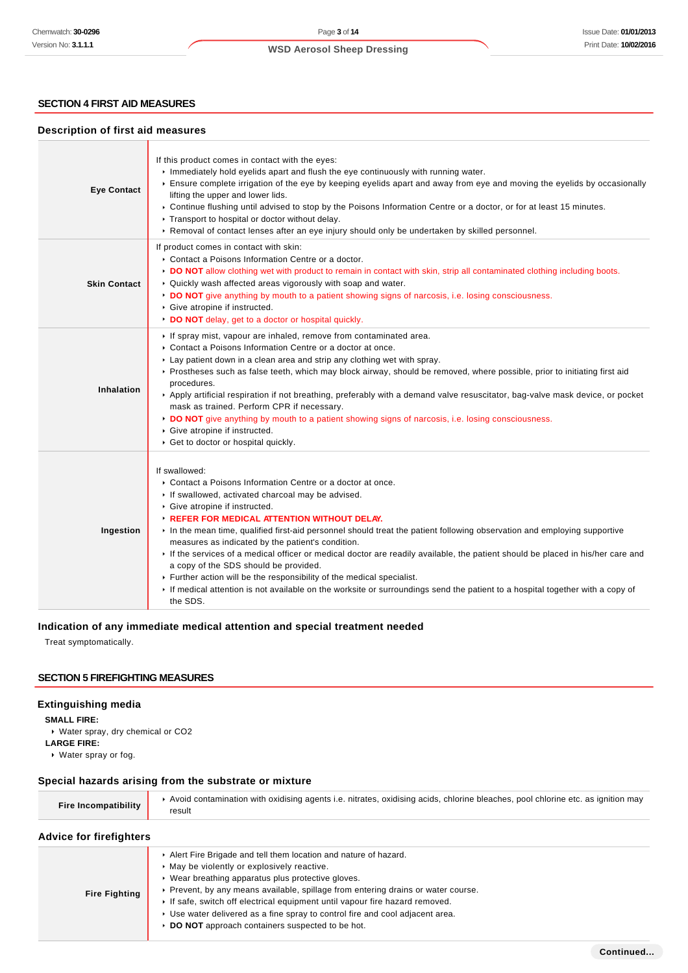# **SECTION 4 FIRST AID MEASURES**

#### **Description of first aid measures**

| <b>Eye Contact</b>  | If this product comes in contact with the eyes:<br>In Immediately hold eyelids apart and flush the eye continuously with running water.<br>Ensure complete irrigation of the eye by keeping eyelids apart and away from eye and moving the eyelids by occasionally<br>lifting the upper and lower lids.<br>▶ Continue flushing until advised to stop by the Poisons Information Centre or a doctor, or for at least 15 minutes.<br>▶ Transport to hospital or doctor without delay.<br>▶ Removal of contact lenses after an eye injury should only be undertaken by skilled personnel.                                                                                                                                                                                                                      |
|---------------------|-------------------------------------------------------------------------------------------------------------------------------------------------------------------------------------------------------------------------------------------------------------------------------------------------------------------------------------------------------------------------------------------------------------------------------------------------------------------------------------------------------------------------------------------------------------------------------------------------------------------------------------------------------------------------------------------------------------------------------------------------------------------------------------------------------------|
| <b>Skin Contact</b> | If product comes in contact with skin:<br>Contact a Poisons Information Centre or a doctor.<br>DO NOT allow clothing wet with product to remain in contact with skin, strip all contaminated clothing including boots.<br>• Quickly wash affected areas vigorously with soap and water.<br>► DO NOT give anything by mouth to a patient showing signs of narcosis, i.e. losing consciousness.<br>Give atropine if instructed.<br>DO NOT delay, get to a doctor or hospital quickly.                                                                                                                                                                                                                                                                                                                         |
| Inhalation          | If spray mist, vapour are inhaled, remove from contaminated area.<br>• Contact a Poisons Information Centre or a doctor at once.<br>► Lay patient down in a clean area and strip any clothing wet with spray.<br>▶ Prostheses such as false teeth, which may block airway, should be removed, where possible, prior to initiating first aid<br>procedures.<br>▶ Apply artificial respiration if not breathing, preferably with a demand valve resuscitator, bag-valve mask device, or pocket<br>mask as trained. Perform CPR if necessary.<br>► DO NOT give anything by mouth to a patient showing signs of narcosis, i.e. losing consciousness.<br>Give atropine if instructed.<br>Get to doctor or hospital quickly.                                                                                      |
| Ingestion           | If swallowed:<br>Contact a Poisons Information Centre or a doctor at once.<br>If swallowed, activated charcoal may be advised.<br>Give atropine if instructed.<br><b>EXECUTE: REFER FOR MEDICAL ATTENTION WITHOUT DELAY.</b><br>In the mean time, qualified first-aid personnel should treat the patient following observation and employing supportive<br>measures as indicated by the patient's condition.<br>If the services of a medical officer or medical doctor are readily available, the patient should be placed in his/her care and<br>a copy of the SDS should be provided.<br>Further action will be the responsibility of the medical specialist.<br>If medical attention is not available on the worksite or surroundings send the patient to a hospital together with a copy of<br>the SDS. |

## **Indication of any immediate medical attention and special treatment needed**

Treat symptomatically.

# **SECTION 5 FIREFIGHTING MEASURES**

# **Extinguishing media**

**SMALL FIRE:**

- Water spray, dry chemical or CO2 **LARGE FIRE:**
- Water spray or fog.

## **Special hazards arising from the substrate or mixture**

| <b>Fire Incompatibility</b> | Avoid contamination with oxidising agents i.e. nitrates, oxidising acids, chlorine bleaches, pool chlorine etc. as ignition may |
|-----------------------------|---------------------------------------------------------------------------------------------------------------------------------|
|                             | result                                                                                                                          |

# **Advice for firefighters**

| <b>Fire Fighting</b> | Alert Fire Brigade and tell them location and nature of hazard.<br>• May be violently or explosively reactive.<br>▶ Wear breathing apparatus plus protective gloves. |
|----------------------|----------------------------------------------------------------------------------------------------------------------------------------------------------------------|
|                      | ► Prevent, by any means available, spillage from entering drains or water course.<br>If safe, switch off electrical equipment until vapour fire hazard removed.      |
|                      | ► Use water delivered as a fine spray to control fire and cool adjacent area.                                                                                        |
|                      | DO NOT approach containers suspected to be hot.                                                                                                                      |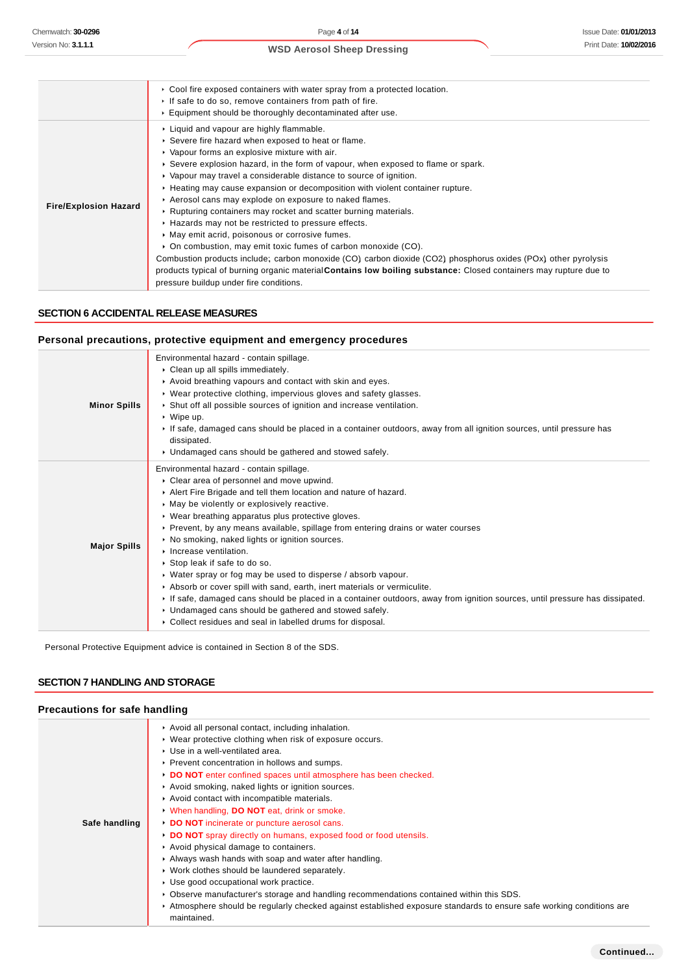#### Cool fire exposed containers with water spray from a protected location. If safe to do so, remove containers from path of fire. Equipment should be thoroughly decontaminated after use. **Fire/Explosion Hazard** Liquid and vapour are highly flammable. Severe fire hazard when exposed to heat or flame. Vapour forms an explosive mixture with air. Severe explosion hazard, in the form of vapour, when exposed to flame or spark. Vapour may travel a considerable distance to source of ignition. Heating may cause expansion or decomposition with violent container rupture. Aerosol cans may explode on exposure to naked flames. ▶ Rupturing containers may rocket and scatter burning materials. Hazards may not be restricted to pressure effects.  $\blacktriangleright$  May emit acrid, poisonous or corrosive fumes. ▶ On combustion, may emit toxic fumes of carbon monoxide (CO). Combustion products include:, carbon monoxide (CO), carbon dioxide (CO2), phosphorus oxides (POx), other pyrolysis products typical of burning organic material**Contains low boiling substance:** Closed containers may rupture due to pressure buildup under fire conditions.

### **SECTION 6 ACCIDENTAL RELEASE MEASURES**

#### **Personal precautions, protective equipment and emergency procedures**

| <b>Minor Spills</b> | Environmental hazard - contain spillage.<br>Clean up all spills immediately.<br>Avoid breathing vapours and contact with skin and eyes.<br>• Wear protective clothing, impervious gloves and safety glasses.<br>Shut off all possible sources of ignition and increase ventilation.                                                                                                                                                                                                                                                                                                                                                                                                                                                                                                                                                                               |
|---------------------|-------------------------------------------------------------------------------------------------------------------------------------------------------------------------------------------------------------------------------------------------------------------------------------------------------------------------------------------------------------------------------------------------------------------------------------------------------------------------------------------------------------------------------------------------------------------------------------------------------------------------------------------------------------------------------------------------------------------------------------------------------------------------------------------------------------------------------------------------------------------|
|                     | $\cdot$ Wipe up.<br>If safe, damaged cans should be placed in a container outdoors, away from all ignition sources, until pressure has<br>dissipated.<br>• Undamaged cans should be gathered and stowed safely.                                                                                                                                                                                                                                                                                                                                                                                                                                                                                                                                                                                                                                                   |
| <b>Major Spills</b> | Environmental hazard - contain spillage.<br>• Clear area of personnel and move upwind.<br>Alert Fire Brigade and tell them location and nature of hazard.<br>• May be violently or explosively reactive.<br>• Wear breathing apparatus plus protective gloves.<br>▶ Prevent, by any means available, spillage from entering drains or water courses<br>• No smoking, naked lights or ignition sources.<br>Increase ventilation.<br>▶ Stop leak if safe to do so.<br>• Water spray or fog may be used to disperse / absorb vapour.<br>Absorb or cover spill with sand, earth, inert materials or vermiculite.<br>If safe, damaged cans should be placed in a container outdoors, away from ignition sources, until pressure has dissipated.<br>• Undamaged cans should be gathered and stowed safely.<br>Collect residues and seal in labelled drums for disposal. |

Personal Protective Equipment advice is contained in Section 8 of the SDS.

# **SECTION 7 HANDLING AND STORAGE**

#### **Precautions for safe handling**

|               | Avoid all personal contact, including inhalation.                                                                                    |
|---------------|--------------------------------------------------------------------------------------------------------------------------------------|
|               | ▶ Wear protective clothing when risk of exposure occurs.                                                                             |
|               | ▶ Use in a well-ventilated area.                                                                                                     |
|               | ▶ Prevent concentration in hollows and sumps.                                                                                        |
|               | DO NOT enter confined spaces until atmosphere has been checked.                                                                      |
|               | Avoid smoking, naked lights or ignition sources.                                                                                     |
|               | Avoid contact with incompatible materials.                                                                                           |
|               | V When handling, DO NOT eat, drink or smoke.                                                                                         |
| Safe handling | DO NOT incinerate or puncture aerosol cans.                                                                                          |
|               | DO NOT spray directly on humans, exposed food or food utensils.                                                                      |
|               | Avoid physical damage to containers.                                                                                                 |
|               | Always wash hands with soap and water after handling.                                                                                |
|               | ▶ Work clothes should be laundered separately.                                                                                       |
|               | ▶ Use good occupational work practice.                                                                                               |
|               | ► Observe manufacturer's storage and handling recommendations contained within this SDS.                                             |
|               | ► Atmosphere should be regularly checked against established exposure standards to ensure safe working conditions are<br>maintained. |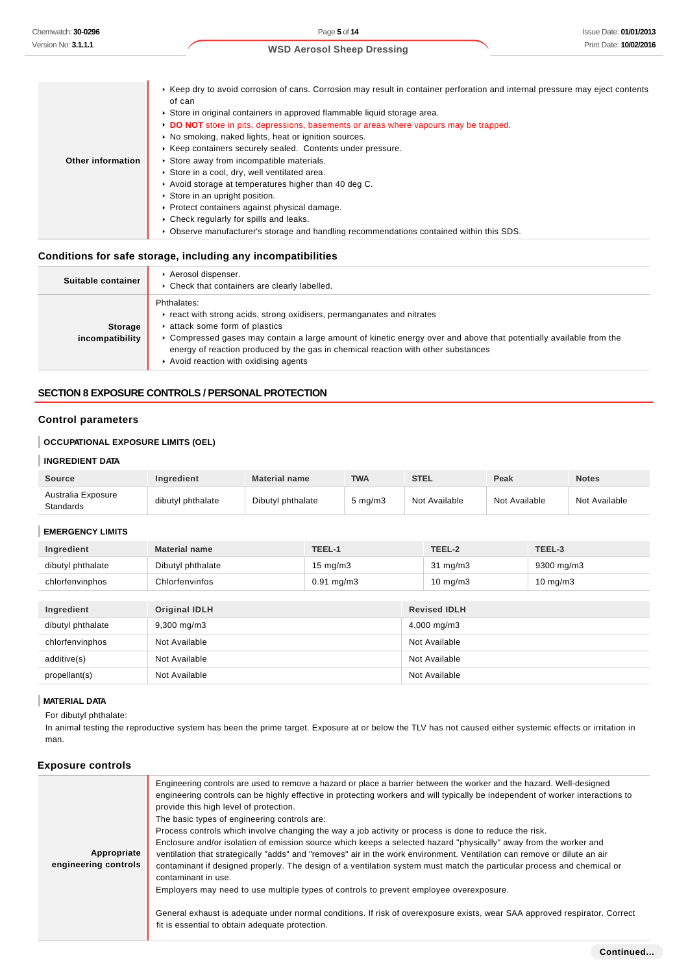|                   | ► Keep dry to avoid corrosion of cans. Corrosion may result in container perforation and internal pressure may eject contents<br>of can |
|-------------------|-----------------------------------------------------------------------------------------------------------------------------------------|
|                   | ► Store in original containers in approved flammable liquid storage area.                                                               |
|                   | DO NOT store in pits, depressions, basements or areas where vapours may be trapped.                                                     |
|                   | • No smoking, naked lights, heat or ignition sources.                                                                                   |
|                   | ▶ Keep containers securely sealed. Contents under pressure.                                                                             |
| Other information | Store away from incompatible materials.                                                                                                 |
|                   | Store in a cool, dry, well ventilated area.                                                                                             |
|                   | Avoid storage at temperatures higher than 40 deg C.                                                                                     |
|                   | Store in an upright position.                                                                                                           |
|                   | ▶ Protect containers against physical damage.                                                                                           |
|                   | • Check regularly for spills and leaks.                                                                                                 |
|                   | ► Observe manufacturer's storage and handling recommendations contained within this SDS.                                                |

# **Conditions for safe storage, including any incompatibilities**

| Suitable container         | Aerosol dispenser.<br>• Check that containers are clearly labelled.                                                                                                                                                                                                                                                                                                     |
|----------------------------|-------------------------------------------------------------------------------------------------------------------------------------------------------------------------------------------------------------------------------------------------------------------------------------------------------------------------------------------------------------------------|
| Storage<br>incompatibility | Phthalates:<br>react with strong acids, strong oxidisers, permanganates and nitrates<br>attack some form of plastics<br>▶ Compressed gases may contain a large amount of kinetic energy over and above that potentially available from the<br>energy of reaction produced by the gas in chemical reaction with other substances<br>Avoid reaction with oxidising agents |

#### **SECTION 8 EXPOSURE CONTROLS / PERSONAL PROTECTION**

#### **Control parameters**

# **OCCUPATIONAL EXPOSURE LIMITS (OEL)**

#### **INGREDIENT DATA**

| <b>Source</b>                          | <b>Ingredient</b> | <b>Material name</b> | TWA                | <b>STEL</b>   | Peak          | <b>Notes</b>  |
|----------------------------------------|-------------------|----------------------|--------------------|---------------|---------------|---------------|
| Australia Exposure<br><b>Standards</b> | dibutyl phthalate | Dibutyl phthalate    | $5 \text{ ma/m}$ 3 | Not Available | Not Available | Not Available |

#### **EMERGENCY LIMITS**

| Ingredient        | <b>Material name</b> | TEEL-1                  | TEEL-2              | TEEL-3      |
|-------------------|----------------------|-------------------------|---------------------|-------------|
| dibutyl phthalate | Dibutyl phthalate    | 15 mg/m $3$             | $31 \text{ mg/m}$   | 9300 mg/m3  |
| chlorfenvinphos   | Chlorfenvinfos       | $0.91 \,\mathrm{mg/m3}$ | $10 \text{ mg/m}$   | 10 mg/m $3$ |
|                   |                      |                         |                     |             |
| Ingredient        | <b>Original IDLH</b> |                         | <b>Revised IDLH</b> |             |
| dibutyl phthalate | $9,300$ mg/m $3$     |                         | 4,000 mg/m3         |             |
| chlorfenvinphos   | Not Available        |                         | Not Available       |             |
| additive(s)       | Not Available        |                         | Not Available       |             |
| propellant(s)     | Not Available        |                         | Not Available       |             |

#### **MATERIAL DATA**

For dibutyl phthalate:

In animal testing the reproductive system has been the prime target. Exposure at or below the TLV has not caused either systemic effects or irritation in man.

#### **Exposure controls**

| Appropriate<br>engineering controls | Engineering controls are used to remove a hazard or place a barrier between the worker and the hazard. Well-designed<br>engineering controls can be highly effective in protecting workers and will typically be independent of worker interactions to<br>provide this high level of protection.<br>The basic types of engineering controls are:<br>Process controls which involve changing the way a job activity or process is done to reduce the risk.<br>Enclosure and/or isolation of emission source which keeps a selected hazard "physically" away from the worker and<br>ventilation that strategically "adds" and "removes" air in the work environment. Ventilation can remove or dilute an air<br>contaminant if designed properly. The design of a ventilation system must match the particular process and chemical or<br>contaminant in use.<br>Employers may need to use multiple types of controls to prevent employee overexposure.<br>General exhaust is adequate under normal conditions. If risk of overexposure exists, wear SAA approved respirator. Correct<br>fit is essential to obtain adequate protection. |
|-------------------------------------|----------------------------------------------------------------------------------------------------------------------------------------------------------------------------------------------------------------------------------------------------------------------------------------------------------------------------------------------------------------------------------------------------------------------------------------------------------------------------------------------------------------------------------------------------------------------------------------------------------------------------------------------------------------------------------------------------------------------------------------------------------------------------------------------------------------------------------------------------------------------------------------------------------------------------------------------------------------------------------------------------------------------------------------------------------------------------------------------------------------------------------------|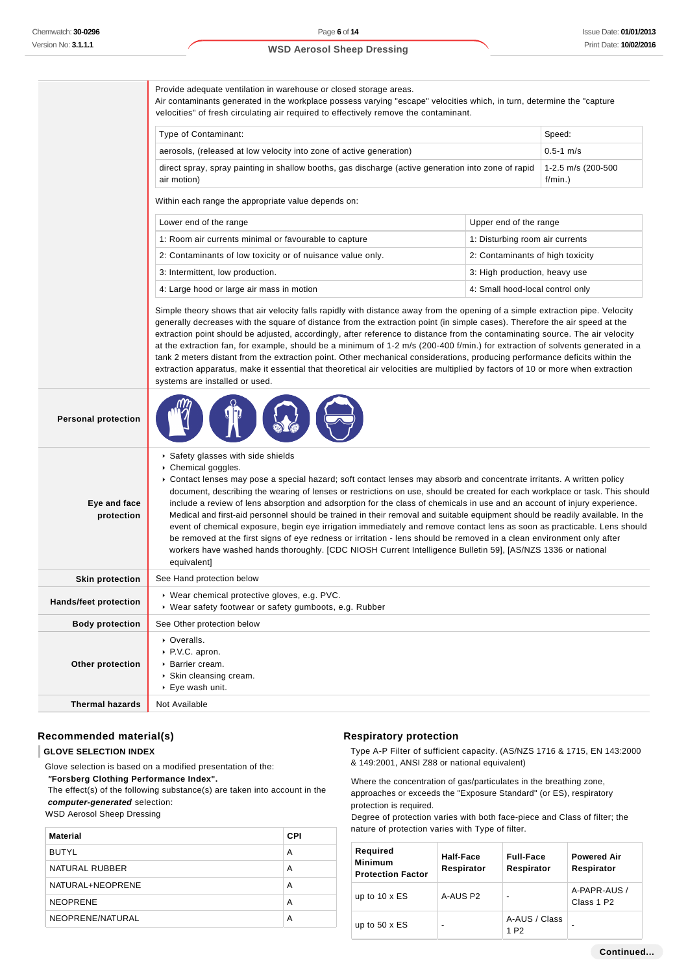Provide adequate ventilation in warehouse or closed storage areas. Air contaminants generated in the workplace possess varying "escape" velocities which, in turn, determine the "capture velocities" of fresh circulating air required to effectively remove the contaminant.

| Type of Contaminant:                                                                                               | Speed:                         |
|--------------------------------------------------------------------------------------------------------------------|--------------------------------|
| aerosols, (released at low velocity into zone of active generation)                                                | $0.5 - 1$ m/s                  |
| direct spray, spray painting in shallow booths, gas discharge (active generation into zone of rapid<br>air motion) | $1-2.5$ m/s (200-500<br>f/min. |

Within each range the appropriate value depends on:

| Lower end of the range                                     | Upper end of the range           |
|------------------------------------------------------------|----------------------------------|
| 1: Room air currents minimal or favourable to capture      | 1: Disturbing room air currents  |
| 2: Contaminants of low toxicity or of nuisance value only. | 2: Contaminants of high toxicity |
| 3: Intermittent, low production.                           | 3: High production, heavy use    |
| 4: Large hood or large air mass in motion                  | 4: Small hood-local control only |

Simple theory shows that air velocity falls rapidly with distance away from the opening of a simple extraction pipe. Velocity generally decreases with the square of distance from the extraction point (in simple cases). Therefore the air speed at the extraction point should be adjusted, accordingly, after reference to distance from the contaminating source. The air velocity at the extraction fan, for example, should be a minimum of 1-2 m/s (200-400 f/min.) for extraction of solvents generated in a tank 2 meters distant from the extraction point. Other mechanical considerations, producing performance deficits within the extraction apparatus, make it essential that theoretical air velocities are multiplied by factors of 10 or more when extraction systems are installed or used.

| <b>Personal protection</b>   |                                                                                                                                                                                                                                                                                                                                                                                                                                                                                                                                                                                                                                                                                                                                                                                                                                                                                                                                                                     |
|------------------------------|---------------------------------------------------------------------------------------------------------------------------------------------------------------------------------------------------------------------------------------------------------------------------------------------------------------------------------------------------------------------------------------------------------------------------------------------------------------------------------------------------------------------------------------------------------------------------------------------------------------------------------------------------------------------------------------------------------------------------------------------------------------------------------------------------------------------------------------------------------------------------------------------------------------------------------------------------------------------|
| Eye and face<br>protection   | ▶ Safety glasses with side shields<br>Chemical goggles.<br>▶ Contact lenses may pose a special hazard; soft contact lenses may absorb and concentrate irritants. A written policy<br>document, describing the wearing of lenses or restrictions on use, should be created for each workplace or task. This should<br>include a review of lens absorption and adsorption for the class of chemicals in use and an account of injury experience.<br>Medical and first-aid personnel should be trained in their removal and suitable equipment should be readily available. In the<br>event of chemical exposure, begin eye irrigation immediately and remove contact lens as soon as practicable. Lens should<br>be removed at the first signs of eye redness or irritation - lens should be removed in a clean environment only after<br>workers have washed hands thoroughly. [CDC NIOSH Current Intelligence Bulletin 59], [AS/NZS 1336 or national<br>equivalent] |
| <b>Skin protection</b>       | See Hand protection below                                                                                                                                                                                                                                                                                                                                                                                                                                                                                                                                                                                                                                                                                                                                                                                                                                                                                                                                           |
| <b>Hands/feet protection</b> | ▶ Wear chemical protective gloves, e.g. PVC.<br>▶ Wear safety footwear or safety gumboots, e.g. Rubber                                                                                                                                                                                                                                                                                                                                                                                                                                                                                                                                                                                                                                                                                                                                                                                                                                                              |
| <b>Body protection</b>       | See Other protection below                                                                                                                                                                                                                                                                                                                                                                                                                                                                                                                                                                                                                                                                                                                                                                                                                                                                                                                                          |
| Other protection             | • Overalls.<br>▶ P.V.C. apron.<br>$\triangleright$ Barrier cream.<br>▶ Skin cleansing cream.<br>▶ Eye wash unit.                                                                                                                                                                                                                                                                                                                                                                                                                                                                                                                                                                                                                                                                                                                                                                                                                                                    |
| <b>Thermal hazards</b>       | Not Available                                                                                                                                                                                                                                                                                                                                                                                                                                                                                                                                                                                                                                                                                                                                                                                                                                                                                                                                                       |

#### **Recommended material(s)**

#### **GLOVE SELECTION INDEX**

Glove selection is based on a modified presentation of the:

 **"Forsberg Clothing Performance Index".**

 The effect(s) of the following substance(s) are taken into account in the **computer-generated** selection:

WSD Aerosol Sheep Dressing

| <b>Material</b>  | <b>CPI</b> |
|------------------|------------|
| <b>BUTYL</b>     | A          |
| NATURAL RUBBER   | A          |
| NATURAL+NEOPRENE | A          |
| <b>NEOPRENE</b>  | A          |
| NEOPRENE/NATURAL | A          |

#### **Respiratory protection**

Type A-P Filter of sufficient capacity. (AS/NZS 1716 & 1715, EN 143:2000 & 149:2001, ANSI Z88 or national equivalent)

Where the concentration of gas/particulates in the breathing zone, approaches or exceeds the "Exposure Standard" (or ES), respiratory protection is required.

Degree of protection varies with both face-piece and Class of filter; the nature of protection varies with Type of filter.

| Required<br><b>Minimum</b><br><b>Protection Factor</b> | Half-Face<br>Respirator  | <b>Full-Face</b><br>Respirator    | <b>Powered Air</b><br>Respirator       |
|--------------------------------------------------------|--------------------------|-----------------------------------|----------------------------------------|
| up to $10 \times ES$                                   | A-AUS P2                 | $\blacksquare$                    | A-PAPR-AUS /<br>Class 1 P <sub>2</sub> |
| up to $50 \times ES$                                   | $\overline{\phantom{0}}$ | A-AUS / Class<br>1 P <sub>2</sub> | -                                      |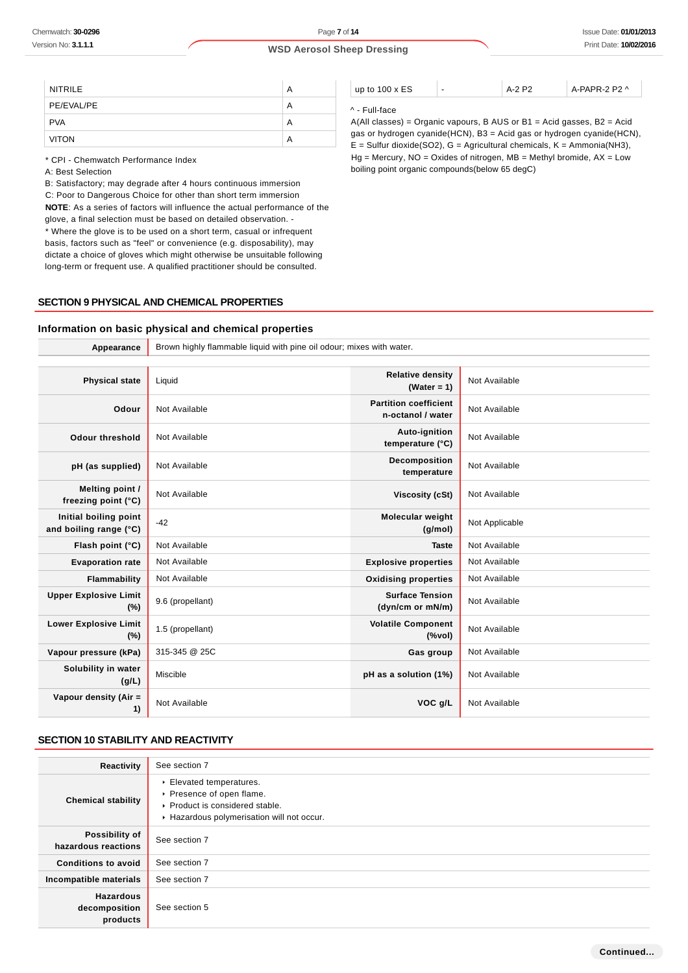| <b>NITRILE</b> | A |
|----------------|---|
| PE/EVAL/PE     | А |
| <b>PVA</b>     | А |
| <b>VITON</b>   | А |

\* CPI - Chemwatch Performance Index

A: Best Selection

B: Satisfactory; may degrade after 4 hours continuous immersion C: Poor to Dangerous Choice for other than short term immersion **NOTE**: As a series of factors will influence the actual performance of the glove, a final selection must be based on detailed observation. - \* Where the glove is to be used on a short term, casual or infrequent basis, factors such as "feel" or convenience (e.g. disposability), may

dictate a choice of gloves which might otherwise be unsuitable following long-term or frequent use. A qualified practitioner should be consulted.

# **SECTION 9 PHYSICAL AND CHEMICAL PROPERTIES**

#### **Information on basic physical and chemical properties**

**Appearance** Brown highly flammable liquid with pine oil odour; mixes with water. **Physical state** Liquid **Relative density Relative density (Water = 1)** Not Available **Odour** Not Available **Partition coefficient n-octanol / water** Not Available **Odour threshold** Not Available **Auto-ignition Auto-ignition temperature (°C)** Not Available **pH (as supplied)** Not Available **Decomposition Decomposition temperature** Not Available **Melting point / freezing point (°C)** Not Available **Viscosity (cSt)** Not Available **Initial boiling point and boiling range (°C)** -42 **Molecular weight (g/mol)** Not Applicable **Flash point (°C)** Not Available **Taste** Not Available **Taste** Not Available **Evaporation rate** Not Available **Explosive properties** Not Available **Flammability** Not Available **Notify and Available Community Oxidising properties** Not Available **Upper Explosive Limit (%)** 9.6 (propellant) **Surface Tension (dyn/cm or mN/m)** Not Available **Lower Explosive Limit (%)** 1.5 (propellant) **Volatile Component (%vol)** Not Available **Vapour pressure (kPa)** 315-345 @ 25C **Gas group** Not Available **Solubility in water (g/L) Miscible pH** as a solution (1%) Not Available **Vapour density (Air = 1)** Not Available **VOC g/L** Not Available

### **SECTION 10 STABILITY AND REACTIVITY**

| Reactivity                                    | See section 7                                                                                                                      |
|-----------------------------------------------|------------------------------------------------------------------------------------------------------------------------------------|
| <b>Chemical stability</b>                     | Elevated temperatures.<br>▶ Presence of open flame.<br>▶ Product is considered stable.<br>Hazardous polymerisation will not occur. |
| Possibility of<br>hazardous reactions         | See section 7                                                                                                                      |
| <b>Conditions to avoid</b>                    | See section 7                                                                                                                      |
| Incompatible materials                        | See section 7                                                                                                                      |
| <b>Hazardous</b><br>decomposition<br>products | See section 5                                                                                                                      |

up to 100 x ES  $\vert \cdot \vert$  A-2 P2  $\vert$  A-PAPR-2 P2 ^

#### ^ - Full-face

A(All classes) = Organic vapours, B AUS or B1 = Acid gasses, B2 = Acid gas or hydrogen cyanide(HCN), B3 = Acid gas or hydrogen cyanide(HCN),  $E =$  Sulfur dioxide(SO2), G = Agricultural chemicals, K = Ammonia(NH3),  $Hg =$  Mercury,  $NO =$  Oxides of nitrogen,  $MB =$  Methyl bromide,  $AX =$  Low boiling point organic compounds(below 65 degC)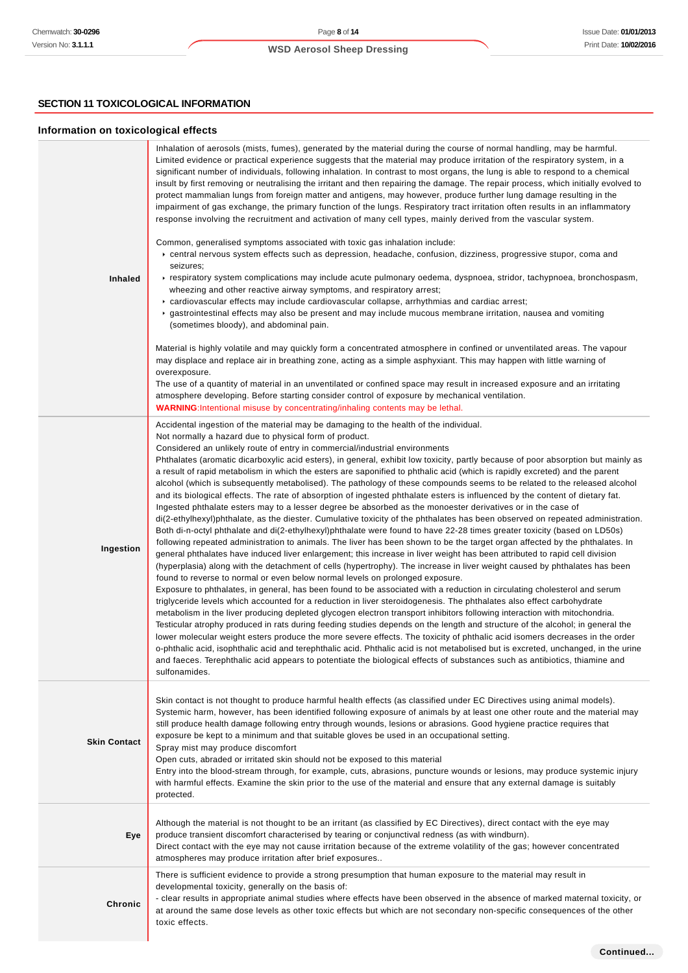# **SECTION 11 TOXICOLOGICAL INFORMATION**

# **Information on toxicological effects**

| <b>Inhaled</b>      | Inhalation of aerosols (mists, fumes), generated by the material during the course of normal handling, may be harmful.<br>Limited evidence or practical experience suggests that the material may produce irritation of the respiratory system, in a<br>significant number of individuals, following inhalation. In contrast to most organs, the lung is able to respond to a chemical<br>insult by first removing or neutralising the irritant and then repairing the damage. The repair process, which initially evolved to<br>protect mammalian lungs from foreign matter and antigens, may however, produce further lung damage resulting in the<br>impairment of gas exchange, the primary function of the lungs. Respiratory tract irritation often results in an inflammatory<br>response involving the recruitment and activation of many cell types, mainly derived from the vascular system.<br>Common, generalised symptoms associated with toxic gas inhalation include:<br>► central nervous system effects such as depression, headache, confusion, dizziness, progressive stupor, coma and<br>seizures;<br>Frespiratory system complications may include acute pulmonary oedema, dyspnoea, stridor, tachypnoea, bronchospasm,<br>wheezing and other reactive airway symptoms, and respiratory arrest;<br>► cardiovascular effects may include cardiovascular collapse, arrhythmias and cardiac arrest;<br>► gastrointestinal effects may also be present and may include mucous membrane irritation, nausea and vomiting<br>(sometimes bloody), and abdominal pain.<br>Material is highly volatile and may quickly form a concentrated atmosphere in confined or unventilated areas. The vapour<br>may displace and replace air in breathing zone, acting as a simple asphyxiant. This may happen with little warning of<br>overexposure.<br>The use of a quantity of material in an unventilated or confined space may result in increased exposure and an irritating<br>atmosphere developing. Before starting consider control of exposure by mechanical ventilation.<br>WARNING: Intentional misuse by concentrating/inhaling contents may be lethal.                                                                                                                                                                                                                                                                                                                                                                                            |
|---------------------|---------------------------------------------------------------------------------------------------------------------------------------------------------------------------------------------------------------------------------------------------------------------------------------------------------------------------------------------------------------------------------------------------------------------------------------------------------------------------------------------------------------------------------------------------------------------------------------------------------------------------------------------------------------------------------------------------------------------------------------------------------------------------------------------------------------------------------------------------------------------------------------------------------------------------------------------------------------------------------------------------------------------------------------------------------------------------------------------------------------------------------------------------------------------------------------------------------------------------------------------------------------------------------------------------------------------------------------------------------------------------------------------------------------------------------------------------------------------------------------------------------------------------------------------------------------------------------------------------------------------------------------------------------------------------------------------------------------------------------------------------------------------------------------------------------------------------------------------------------------------------------------------------------------------------------------------------------------------------------------------------------------------------------------------------------------------------------------------------------------------------------------------------------------------------------------------------------------------------------------------------------------------------------------------------------------------------------------------------------------------------------------------------------------------------------------------------------------------------------------------------------------------------------------------------------------------|
| Ingestion           | Accidental ingestion of the material may be damaging to the health of the individual.<br>Not normally a hazard due to physical form of product.<br>Considered an unlikely route of entry in commercial/industrial environments<br>Phthalates (aromatic dicarboxylic acid esters), in general, exhibit low toxicity, partly because of poor absorption but mainly as<br>a result of rapid metabolism in which the esters are saponified to phthalic acid (which is rapidly excreted) and the parent<br>alcohol (which is subsequently metabolised). The pathology of these compounds seems to be related to the released alcohol<br>and its biological effects. The rate of absorption of ingested phthalate esters is influenced by the content of dietary fat.<br>Ingested phthalate esters may to a lesser degree be absorbed as the monoester derivatives or in the case of<br>di(2-ethylhexyl)phthalate, as the diester. Cumulative toxicity of the phthalates has been observed on repeated administration.<br>Both di-n-octyl phthalate and di(2-ethylhexyl)phthalate were found to have 22-28 times greater toxicity (based on LD50s)<br>following repeated administration to animals. The liver has been shown to be the target organ affected by the phthalates. In<br>general phthalates have induced liver enlargement; this increase in liver weight has been attributed to rapid cell division<br>(hyperplasia) along with the detachment of cells (hypertrophy). The increase in liver weight caused by phthalates has been<br>found to reverse to normal or even below normal levels on prolonged exposure.<br>Exposure to phthalates, in general, has been found to be associated with a reduction in circulating cholesterol and serum<br>triglyceride levels which accounted for a reduction in liver steroidogenesis. The phthalates also effect carbohydrate<br>metabolism in the liver producing depleted glycogen electron transport inhibitors following interaction with mitochondria.<br>Testicular atrophy produced in rats during feeding studies depends on the length and structure of the alcohol; in general the<br>lower molecular weight esters produce the more severe effects. The toxicity of phthalic acid isomers decreases in the order<br>o-phthalic acid, isophthalic acid and terephthalic acid. Phthalic acid is not metabolised but is excreted, unchanged, in the urine<br>and faeces. Terephthalic acid appears to potentiate the biological effects of substances such as antibiotics, thiamine and<br>sulfonamides. |
| <b>Skin Contact</b> | Skin contact is not thought to produce harmful health effects (as classified under EC Directives using animal models).<br>Systemic harm, however, has been identified following exposure of animals by at least one other route and the material may<br>still produce health damage following entry through wounds, lesions or abrasions. Good hygiene practice requires that<br>exposure be kept to a minimum and that suitable gloves be used in an occupational setting.<br>Spray mist may produce discomfort<br>Open cuts, abraded or irritated skin should not be exposed to this material<br>Entry into the blood-stream through, for example, cuts, abrasions, puncture wounds or lesions, may produce systemic injury<br>with harmful effects. Examine the skin prior to the use of the material and ensure that any external damage is suitably<br>protected.                                                                                                                                                                                                                                                                                                                                                                                                                                                                                                                                                                                                                                                                                                                                                                                                                                                                                                                                                                                                                                                                                                                                                                                                                                                                                                                                                                                                                                                                                                                                                                                                                                                                                              |
| Eye                 | Although the material is not thought to be an irritant (as classified by EC Directives), direct contact with the eye may<br>produce transient discomfort characterised by tearing or conjunctival redness (as with windburn).<br>Direct contact with the eye may not cause irritation because of the extreme volatility of the gas; however concentrated<br>atmospheres may produce irritation after brief exposures                                                                                                                                                                                                                                                                                                                                                                                                                                                                                                                                                                                                                                                                                                                                                                                                                                                                                                                                                                                                                                                                                                                                                                                                                                                                                                                                                                                                                                                                                                                                                                                                                                                                                                                                                                                                                                                                                                                                                                                                                                                                                                                                                |
| Chronic             | There is sufficient evidence to provide a strong presumption that human exposure to the material may result in<br>developmental toxicity, generally on the basis of:<br>- clear results in appropriate animal studies where effects have been observed in the absence of marked maternal toxicity, or<br>at around the same dose levels as other toxic effects but which are not secondary non-specific consequences of the other<br>toxic effects.                                                                                                                                                                                                                                                                                                                                                                                                                                                                                                                                                                                                                                                                                                                                                                                                                                                                                                                                                                                                                                                                                                                                                                                                                                                                                                                                                                                                                                                                                                                                                                                                                                                                                                                                                                                                                                                                                                                                                                                                                                                                                                                 |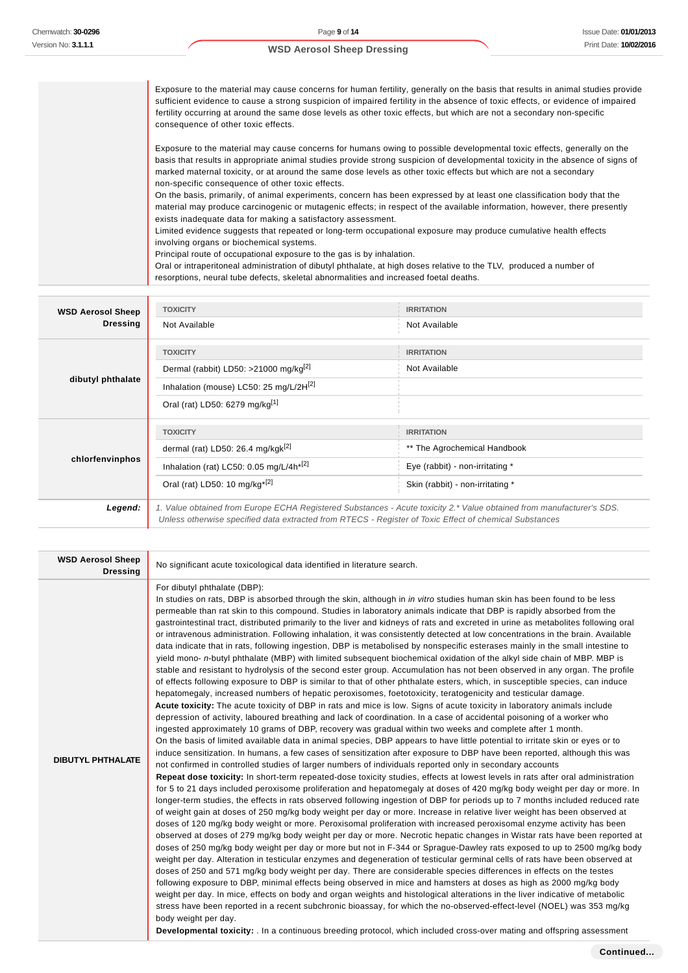Exposure to the material may cause concerns for human fertility, generally on the basis that results in animal studies provide sufficient evidence to cause a strong suspicion of impaired fertility in the absence of toxic effects, or evidence of impaired fertility occurring at around the same dose levels as other toxic effects, but which are not a secondary non-specific consequence of other toxic effects. Exposure to the material may cause concerns for humans owing to possible developmental toxic effects, generally on the basis that results in appropriate animal studies provide strong suspicion of developmental toxicity in the absence of signs of marked maternal toxicity, or at around the same dose levels as other toxic effects but which are not a secondary non-specific consequence of other toxic effects. On the basis, primarily, of animal experiments, concern has been expressed by at least one classification body that the material may produce carcinogenic or mutagenic effects; in respect of the available information, however, there presently exists inadequate data for making a satisfactory assessment. Limited evidence suggests that repeated or long-term occupational exposure may produce cumulative health effects involving organs or biochemical systems. Principal route of occupational exposure to the gas is by inhalation. Oral or intraperitoneal administration of dibutyl phthalate, at high doses relative to the TLV, produced a number of resorptions, neural tube defects, skeletal abnormalities and increased foetal deaths. **WSD Aerosol Sheep Dressing TOXICITY IRRITATION** Not Available Not Available **TOXICITY IRRITATION**

| dibutyl phthalate | Dermal (rabbit) LD50: >21000 mg/kg <sup>[2]</sup>                                                                                                                                                                               | Not Available                    |  |
|-------------------|---------------------------------------------------------------------------------------------------------------------------------------------------------------------------------------------------------------------------------|----------------------------------|--|
|                   | Inhalation (mouse) LC50: 25 mg/L/2H <sup>[2]</sup>                                                                                                                                                                              |                                  |  |
|                   | Oral (rat) LD50: 6279 mg/kg <sup>[1]</sup>                                                                                                                                                                                      |                                  |  |
|                   | <b>TOXICITY</b>                                                                                                                                                                                                                 | <b>IRRITATION</b>                |  |
| chlorfenvinphos   | dermal (rat) LD50: 26.4 mg/kgk <sup>[2]</sup>                                                                                                                                                                                   | ** The Agrochemical Handbook     |  |
|                   | Inhalation (rat) LC50: 0.05 mg/L/4h <sup>*[2]</sup>                                                                                                                                                                             | Eye (rabbit) - non-irritating *  |  |
|                   | Oral (rat) LD50: 10 mg/kg <sup>*[2]</sup>                                                                                                                                                                                       | Skin (rabbit) - non-irritating * |  |
| Legend:           | 1. Value obtained from Europe ECHA Registered Substances - Acute toxicity 2.* Value obtained from manufacturer's SDS.<br>Unless otherwise specified data extracted from RTECS - Register of Toxic Effect of chemical Substances |                                  |  |

| <b>WSD Aerosol Sheep</b><br><b>Dressing</b> | No significant acute toxicological data identified in literature search.                                                                                                                                                                                                                                                                                                                                                                                                                                                                                                                                                                                                                                                                                                                                                                                                                                                                                                                                                                                                                                                                                                                                                                                                                                                                                                                                                                                                                                                                                                                                                                                                                                                                                                                                                                                                                                                                                                                                                                                                                                                                                                                                                                                                                                                                                                                                                                                                                                                                                                                                                                                                                                                                                                                                                                                                                                                                                                                                                                                                                                                                                                                                                                                                                                                                                                                                                                                                                                                                                                                                                                                        |
|---------------------------------------------|-----------------------------------------------------------------------------------------------------------------------------------------------------------------------------------------------------------------------------------------------------------------------------------------------------------------------------------------------------------------------------------------------------------------------------------------------------------------------------------------------------------------------------------------------------------------------------------------------------------------------------------------------------------------------------------------------------------------------------------------------------------------------------------------------------------------------------------------------------------------------------------------------------------------------------------------------------------------------------------------------------------------------------------------------------------------------------------------------------------------------------------------------------------------------------------------------------------------------------------------------------------------------------------------------------------------------------------------------------------------------------------------------------------------------------------------------------------------------------------------------------------------------------------------------------------------------------------------------------------------------------------------------------------------------------------------------------------------------------------------------------------------------------------------------------------------------------------------------------------------------------------------------------------------------------------------------------------------------------------------------------------------------------------------------------------------------------------------------------------------------------------------------------------------------------------------------------------------------------------------------------------------------------------------------------------------------------------------------------------------------------------------------------------------------------------------------------------------------------------------------------------------------------------------------------------------------------------------------------------------------------------------------------------------------------------------------------------------------------------------------------------------------------------------------------------------------------------------------------------------------------------------------------------------------------------------------------------------------------------------------------------------------------------------------------------------------------------------------------------------------------------------------------------------------------------------------------------------------------------------------------------------------------------------------------------------------------------------------------------------------------------------------------------------------------------------------------------------------------------------------------------------------------------------------------------------------------------------------------------------------------------------------------------------|
| <b>DIBUTYL PHTHALATE</b>                    | For dibutyl phthalate (DBP):<br>In studies on rats, DBP is absorbed through the skin, although in <i>in vitro</i> studies human skin has been found to be less<br>permeable than rat skin to this compound. Studies in laboratory animals indicate that DBP is rapidly absorbed from the<br>gastrointestinal tract, distributed primarily to the liver and kidneys of rats and excreted in urine as metabolites following oral<br>or intravenous administration. Following inhalation, it was consistently detected at low concentrations in the brain. Available<br>data indicate that in rats, following ingestion, DBP is metabolised by nonspecific esterases mainly in the small intestine to<br>yield mono- n-butyl phthalate (MBP) with limited subsequent biochemical oxidation of the alkyl side chain of MBP. MBP is<br>stable and resistant to hydrolysis of the second ester group. Accumulation has not been observed in any organ. The profile<br>of effects following exposure to DBP is similar to that of other phthalate esters, which, in susceptible species, can induce<br>hepatomegaly, increased numbers of hepatic peroxisomes, foetotoxicity, teratogenicity and testicular damage.<br>Acute toxicity: The acute toxicity of DBP in rats and mice is low. Signs of acute toxicity in laboratory animals include<br>depression of activity, laboured breathing and lack of coordination. In a case of accidental poisoning of a worker who<br>ingested approximately 10 grams of DBP, recovery was gradual within two weeks and complete after 1 month.<br>On the basis of limited available data in animal species, DBP appears to have little potential to irritate skin or eyes or to<br>induce sensitization. In humans, a few cases of sensitization after exposure to DBP have been reported, although this was<br>not confirmed in controlled studies of larger numbers of individuals reported only in secondary accounts<br>Repeat dose toxicity: In short-term repeated-dose toxicity studies, effects at lowest levels in rats after oral administration<br>for 5 to 21 days included peroxisome proliferation and hepatomegaly at doses of 420 mg/kg body weight per day or more. In<br>longer-term studies, the effects in rats observed following ingestion of DBP for periods up to 7 months included reduced rate<br>of weight gain at doses of 250 mg/kg body weight per day or more. Increase in relative liver weight has been observed at<br>doses of 120 mg/kg body weight or more. Peroxisomal proliferation with increased peroxisomal enzyme activity has been<br>observed at doses of 279 mg/kg body weight per day or more. Necrotic hepatic changes in Wistar rats have been reported at<br>doses of 250 mg/kg body weight per day or more but not in F-344 or Sprague-Dawley rats exposed to up to 2500 mg/kg body<br>weight per day. Alteration in testicular enzymes and degeneration of testicular germinal cells of rats have been observed at<br>doses of 250 and 571 mg/kg body weight per day. There are considerable species differences in effects on the testes<br>following exposure to DBP, minimal effects being observed in mice and hamsters at doses as high as 2000 mg/kg body<br>weight per day. In mice, effects on body and organ weights and histological alterations in the liver indicative of metabolic<br>stress have been reported in a recent subchronic bioassay, for which the no-observed-effect-level (NOEL) was 353 mg/kg<br>body weight per day.<br>Developmental toxicity: . In a continuous breeding protocol, which included cross-over mating and offspring assessment |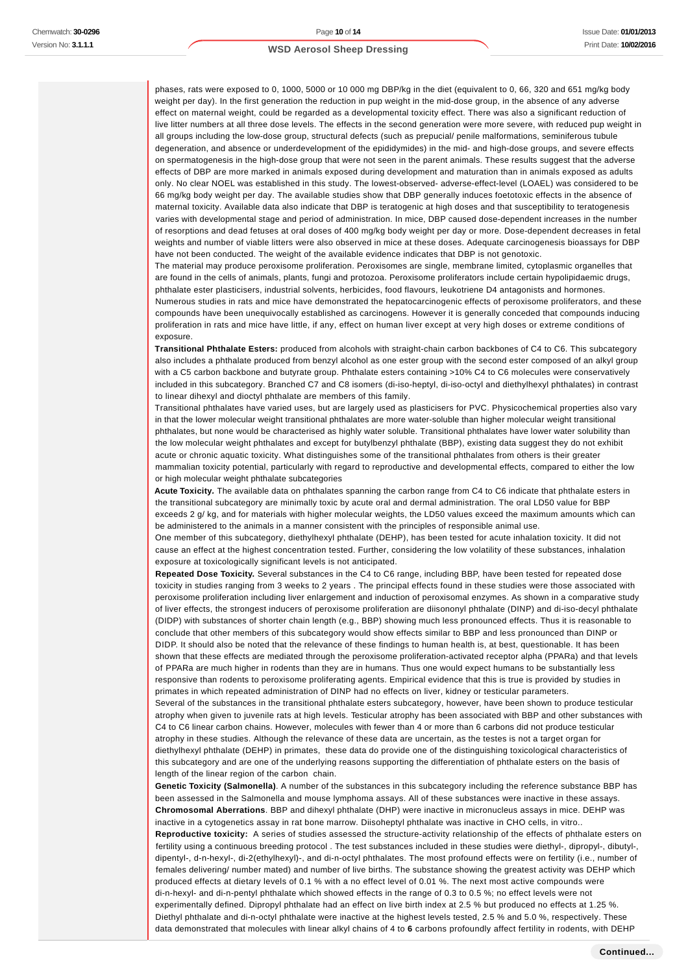phases, rats were exposed to 0, 1000, 5000 or 10 000 mg DBP/kg in the diet (equivalent to 0, 66, 320 and 651 mg/kg body weight per day). In the first generation the reduction in pup weight in the mid-dose group, in the absence of any adverse effect on maternal weight, could be regarded as a developmental toxicity effect. There was also a significant reduction of live litter numbers at all three dose levels. The effects in the second generation were more severe, with reduced pup weight in all groups including the low-dose group, structural defects (such as prepucial/ penile malformations, seminiferous tubule degeneration, and absence or underdevelopment of the epididymides) in the mid- and high-dose groups, and severe effects on spermatogenesis in the high-dose group that were not seen in the parent animals. These results suggest that the adverse effects of DBP are more marked in animals exposed during development and maturation than in animals exposed as adults only. No clear NOEL was established in this study. The lowest-observed- adverse-effect-level (LOAEL) was considered to be 66 mg/kg body weight per day. The available studies show that DBP generally induces foetotoxic effects in the absence of maternal toxicity. Available data also indicate that DBP is teratogenic at high doses and that susceptibility to teratogenesis varies with developmental stage and period of administration. In mice, DBP caused dose-dependent increases in the number of resorptions and dead fetuses at oral doses of 400 mg/kg body weight per day or more. Dose-dependent decreases in fetal weights and number of viable litters were also observed in mice at these doses. Adequate carcinogenesis bioassays for DBP have not been conducted. The weight of the available evidence indicates that DBP is not genotoxic.

The material may produce peroxisome proliferation. Peroxisomes are single, membrane limited, cytoplasmic organelles that are found in the cells of animals, plants, fungi and protozoa. Peroxisome proliferators include certain hypolipidaemic drugs, phthalate ester plasticisers, industrial solvents, herbicides, food flavours, leukotriene D4 antagonists and hormones. Numerous studies in rats and mice have demonstrated the hepatocarcinogenic effects of peroxisome proliferators, and these compounds have been unequivocally established as carcinogens. However it is generally conceded that compounds inducing proliferation in rats and mice have little, if any, effect on human liver except at very high doses or extreme conditions of exposure.

**Transitional Phthalate Esters:** produced from alcohols with straight-chain carbon backbones of C4 to C6. This subcategory also includes a phthalate produced from benzyl alcohol as one ester group with the second ester composed of an alkyl group with a C5 carbon backbone and butyrate group. Phthalate esters containing >10% C4 to C6 molecules were conservatively included in this subcategory. Branched C7 and C8 isomers (di-iso-heptyl, di-iso-octyl and diethylhexyl phthalates) in contrast to linear dihexyl and dioctyl phthalate are members of this family.

Transitional phthalates have varied uses, but are largely used as plasticisers for PVC. Physicochemical properties also vary in that the lower molecular weight transitional phthalates are more water-soluble than higher molecular weight transitional phthalates, but none would be characterised as highly water soluble. Transitional phthalates have lower water solubility than the low molecular weight phthalates and except for butylbenzyl phthalate (BBP), existing data suggest they do not exhibit acute or chronic aquatic toxicity. What distinguishes some of the transitional phthalates from others is their greater mammalian toxicity potential, particularly with regard to reproductive and developmental effects, compared to either the low or high molecular weight phthalate subcategories

**Acute Toxicity.** The available data on phthalates spanning the carbon range from C4 to C6 indicate that phthalate esters in the transitional subcategory are minimally toxic by acute oral and dermal administration. The oral LD50 value for BBP exceeds 2 g/ kg, and for materials with higher molecular weights, the LD50 values exceed the maximum amounts which can be administered to the animals in a manner consistent with the principles of responsible animal use.

One member of this subcategory, diethylhexyl phthalate (DEHP), has been tested for acute inhalation toxicity. It did not cause an effect at the highest concentration tested. Further, considering the low volatility of these substances, inhalation exposure at toxicologically significant levels is not anticipated.

**Repeated Dose Toxicity.** Several substances in the C4 to C6 range, including BBP, have been tested for repeated dose toxicity in studies ranging from 3 weeks to 2 years . The principal effects found in these studies were those associated with peroxisome proliferation including liver enlargement and induction of peroxisomal enzymes. As shown in a comparative study of liver effects, the strongest inducers of peroxisome proliferation are diisononyl phthalate (DINP) and di-iso-decyl phthalate (DIDP) with substances of shorter chain length (e.g., BBP) showing much less pronounced effects. Thus it is reasonable to conclude that other members of this subcategory would show effects similar to BBP and less pronounced than DINP or DIDP. It should also be noted that the relevance of these findings to human health is, at best, questionable. It has been shown that these effects are mediated through the peroxisome proliferation-activated receptor alpha (PPARa) and that levels of PPARa are much higher in rodents than they are in humans. Thus one would expect humans to be substantially less responsive than rodents to peroxisome proliferating agents. Empirical evidence that this is true is provided by studies in primates in which repeated administration of DINP had no effects on liver, kidney or testicular parameters. Several of the substances in the transitional phthalate esters subcategory, however, have been shown to produce testicular atrophy when given to juvenile rats at high levels. Testicular atrophy has been associated with BBP and other substances with C4 to C6 linear carbon chains. However, molecules with fewer than 4 or more than 6 carbons did not produce testicular atrophy in these studies. Although the relevance of these data are uncertain, as the testes is not a target organ for diethylhexyl phthalate (DEHP) in primates, these data do provide one of the distinguishing toxicological characteristics of this subcategory and are one of the underlying reasons supporting the differentiation of phthalate esters on the basis of length of the linear region of the carbon chain.

**Genetic Toxicity (Salmonella)**. A number of the substances in this subcategory including the reference substance BBP has been assessed in the Salmonella and mouse lymphoma assays. All of these substances were inactive in these assays. **Chromosomal Aberrations**. BBP and dihexyl phthalate (DHP) were inactive in micronucleus assays in mice. DEHP was inactive in a cytogenetics assay in rat bone marrow. Diisoheptyl phthalate was inactive in CHO cells, in vitro.. **Reproductive toxicity:** A series of studies assessed the structure-activity relationship of the effects of phthalate esters on fertility using a continuous breeding protocol . The test substances included in these studies were diethyl-, dipropyl-, dibutyl-, dipentyl-, d-n-hexyl-, di-2(ethylhexyl)-, and di-n-octyl phthalates. The most profound effects were on fertility (i.e., number of females delivering/ number mated) and number of live births. The substance showing the greatest activity was DEHP which produced effects at dietary levels of 0.1 % with a no effect level of 0.01 %. The next most active compounds were di-n-hexyl- and di-n-pentyl phthalate which showed effects in the range of 0.3 to 0.5 %; no effect levels were not experimentally defined. Dipropyl phthalate had an effect on live birth index at 2.5 % but produced no effects at 1.25 %. Diethyl phthalate and di-n-octyl phthalate were inactive at the highest levels tested, 2.5 % and 5.0 %, respectively. These data demonstrated that molecules with linear alkyl chains of 4 to **6** carbons profoundly affect fertility in rodents, with DEHP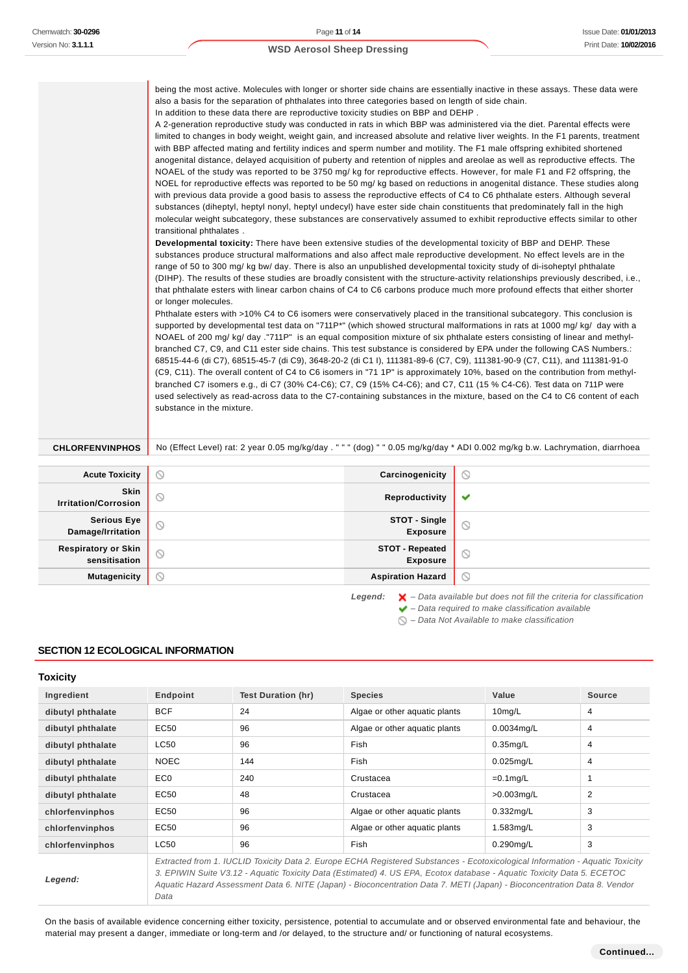being the most active. Molecules with longer or shorter side chains are essentially inactive in these assays. These data were also a basis for the separation of phthalates into three categories based on length of side chain.

In addition to these data there are reproductive toxicity studies on BBP and DEHP .

A 2-generation reproductive study was conducted in rats in which BBP was administered via the diet. Parental effects were limited to changes in body weight, weight gain, and increased absolute and relative liver weights. In the F1 parents, treatment with BBP affected mating and fertility indices and sperm number and motility. The F1 male offspring exhibited shortened anogenital distance, delayed acquisition of puberty and retention of nipples and areolae as well as reproductive effects. The NOAEL of the study was reported to be 3750 mg/ kg for reproductive effects. However, for male F1 and F2 offspring, the NOEL for reproductive effects was reported to be 50 mg/ kg based on reductions in anogenital distance. These studies along with previous data provide a good basis to assess the reproductive effects of C4 to C6 phthalate esters. Although several substances (diheptyl, heptyl nonyl, heptyl undecyl) have ester side chain constituents that predominately fall in the high molecular weight subcategory, these substances are conservatively assumed to exhibit reproductive effects similar to other transitional phthalates .

**Developmental toxicity:** There have been extensive studies of the developmental toxicity of BBP and DEHP. These substances produce structural malformations and also affect male reproductive development. No effect levels are in the range of 50 to 300 mg/ kg bw/ day. There is also an unpublished developmental toxicity study of di-isoheptyl phthalate (DIHP). The results of these studies are broadly consistent with the structure-activity relationships previously described, i.e., that phthalate esters with linear carbon chains of C4 to C6 carbons produce much more profound effects that either shorter or longer molecules.

Phthalate esters with >10% C4 to C6 isomers were conservatively placed in the transitional subcategory. This conclusion is supported by developmental test data on "711P\*" (which showed structural malformations in rats at 1000 mg/ kg/ day with a NOAEL of 200 mg/ kg/ day ."711P" is an equal composition mixture of six phthalate esters consisting of linear and methylbranched C7, C9, and C11 ester side chains. This test substance is considered by EPA under the following CAS Numbers.: 68515-44-6 (di C7), 68515-45-7 (di C9), 3648-20-2 (di C1 I), 111381-89-6 (C7, C9), 111381-90-9 (C7, C11), and 111381-91-0 (C9, C11). The overall content of C4 to C6 isomers in "71 1P" is approximately 10%, based on the contribution from methylbranched C7 isomers e.g., di C7 (30% C4-C6); C7, C9 (15% C4-C6); and C7, C11 (15 % C4-C6). Test data on 711P were used selectively as read-across data to the C7-containing substances in the mixture, based on the C4 to C6 content of each substance in the mixture.

CHLORFENVINPHOS No (Effect Level) rat: 2 year 0.05 mg/kg/day . " " (dog) " " 0.05 mg/kg/day \* ADI 0.002 mg/kg b.w. Lachrymation, diarrhoea

| <b>Acute Toxicity</b>                       | ∾                   | Carcinogenicity                    | $\odot$                                                                                  |
|---------------------------------------------|---------------------|------------------------------------|------------------------------------------------------------------------------------------|
| <b>Skin</b><br><b>Irritation/Corrosion</b>  | $\circlearrowright$ | Reproductivity                     | ✔                                                                                        |
| <b>Serious Eye</b><br>Damage/Irritation     | $\circlearrowright$ | STOT - Single<br><b>Exposure</b>   | $\circ$                                                                                  |
| <b>Respiratory or Skin</b><br>sensitisation | O                   | STOT - Repeated<br><b>Exposure</b> | $\circ$                                                                                  |
| <b>Mutagenicity</b>                         | ∾                   | <b>Aspiration Hazard</b>           | $\circ$                                                                                  |
|                                             |                     | Legend:                            | $\blacktriangleright$ - Data available but does not fill the criteria for classification |

 $\blacktriangleright$  – Data required to make classification available

# **SECTION 12 ECOLOGICAL INFORMATION**

| <b>Toxicity</b>   |                                                                                                                                                                                                                                                                                                                                                                                             |                    |                               |               |               |
|-------------------|---------------------------------------------------------------------------------------------------------------------------------------------------------------------------------------------------------------------------------------------------------------------------------------------------------------------------------------------------------------------------------------------|--------------------|-------------------------------|---------------|---------------|
| Ingredient        | Endpoint                                                                                                                                                                                                                                                                                                                                                                                    | Test Duration (hr) | <b>Species</b>                | Value         | <b>Source</b> |
| dibutyl phthalate | <b>BCF</b>                                                                                                                                                                                                                                                                                                                                                                                  | 24                 | Algae or other aquatic plants | $10$ mg/L     | 4             |
| dibutyl phthalate | EC50                                                                                                                                                                                                                                                                                                                                                                                        | 96                 | Algae or other aquatic plants | $0.0034$ mg/L | 4             |
| dibutyl phthalate | LC50                                                                                                                                                                                                                                                                                                                                                                                        | 96                 | Fish                          | $0.35$ mg/L   | 4             |
| dibutyl phthalate | <b>NOEC</b>                                                                                                                                                                                                                                                                                                                                                                                 | 144                | Fish                          | $0.025$ mg/L  | 4             |
| dibutyl phthalate | EC <sub>0</sub>                                                                                                                                                                                                                                                                                                                                                                             | 240                | Crustacea                     | $=0.1$ mg/L   | 1             |
| dibutyl phthalate | EC50                                                                                                                                                                                                                                                                                                                                                                                        | 48                 | Crustacea                     | $>0.003$ mg/L | 2             |
| chlorfenvinphos   | EC50                                                                                                                                                                                                                                                                                                                                                                                        | 96                 | Algae or other aquatic plants | $0.332$ mg/L  | 3             |
| chlorfenvinphos   | EC50                                                                                                                                                                                                                                                                                                                                                                                        | 96                 | Algae or other aquatic plants | 1.583mg/L     | 3             |
| chlorfenvinphos   | LC50                                                                                                                                                                                                                                                                                                                                                                                        | 96                 | Fish                          | $0.290$ mg/L  | 3             |
| Legend:           | Extracted from 1. IUCLID Toxicity Data 2. Europe ECHA Registered Substances - Ecotoxicological Information - Aquatic Toxicity<br>3. EPIWIN Suite V3.12 - Aquatic Toxicity Data (Estimated) 4. US EPA, Ecotox database - Aquatic Toxicity Data 5. ECETOC<br>Aquatic Hazard Assessment Data 6. NITE (Japan) - Bioconcentration Data 7. METI (Japan) - Bioconcentration Data 8. Vendor<br>Data |                    |                               |               |               |

On the basis of available evidence concerning either toxicity, persistence, potential to accumulate and or observed environmental fate and behaviour, the material may present a danger, immediate or long-term and /or delayed, to the structure and/ or functioning of natural ecosystems.

 $\bigcirc$  – Data Not Available to make classification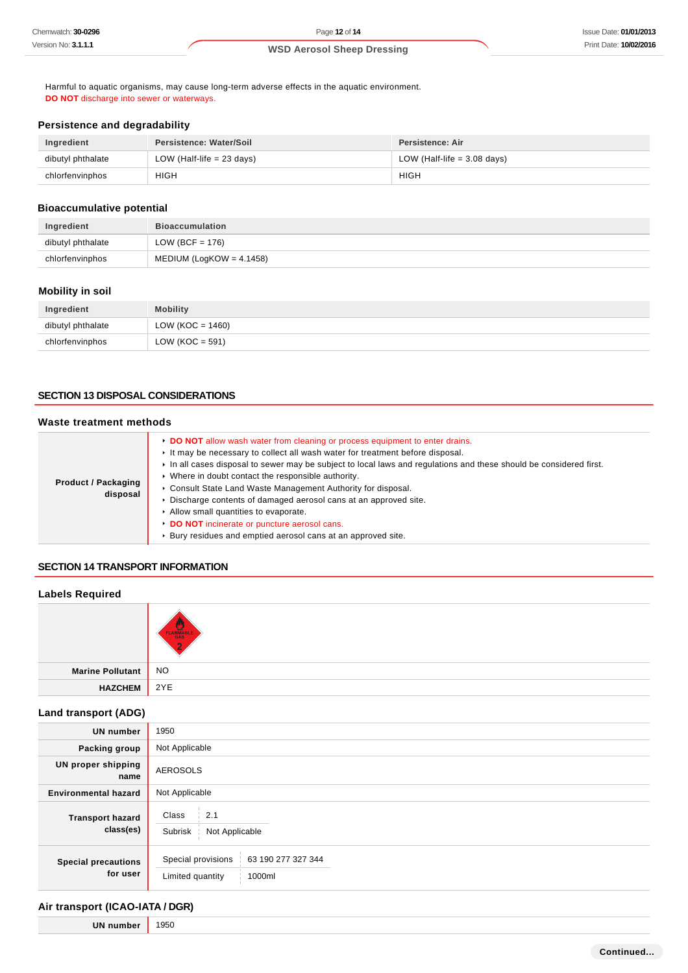Harmful to aquatic organisms, may cause long-term adverse effects in the aquatic environment. **DO NOT** discharge into sewer or waterways.

# **Persistence and degradability**

| Ingredient        | Persistence: Water/Soil     | Persistence: Air              |
|-------------------|-----------------------------|-------------------------------|
| dibutyl phthalate | LOW (Half-life $= 23$ days) | LOW (Half-life $=$ 3.08 days) |
| chlorfenvinphos   | <b>HIGH</b>                 | HIGH                          |

# **Bioaccumulative potential**

| Ingredient        | <b>Bioaccumulation</b>      |
|-------------------|-----------------------------|
| dibutyl phthalate | LOW (BCF = 176)             |
| chlorfenvinphos   | MEDIUM (LogKOW = $4.1458$ ) |

## **Mobility in soil**

| Ingredient        | <b>Mobility</b>     |
|-------------------|---------------------|
| dibutyl phthalate | LOW (KOC = $1460$ ) |
| chlorfenvinphos   | LOW ( $KOC = 591$ ) |

#### **SECTION 13 DISPOSAL CONSIDERATIONS**

# **Waste treatment methods**

| <b>Product / Packaging</b><br>disposal | <b>• DO NOT</b> allow wash water from cleaning or process equipment to enter drains.<br>It may be necessary to collect all wash water for treatment before disposal.<br>In all cases disposal to sewer may be subject to local laws and requlations and these should be considered first.<br>• Where in doubt contact the responsible authority.<br>Consult State Land Waste Management Authority for disposal.<br>Discharge contents of damaged aerosol cans at an approved site.<br>Allow small quantities to evaporate.<br>DO NOT incinerate or puncture aerosol cans.<br>Bury residues and emptied aerosol cans at an approved site. |
|----------------------------------------|------------------------------------------------------------------------------------------------------------------------------------------------------------------------------------------------------------------------------------------------------------------------------------------------------------------------------------------------------------------------------------------------------------------------------------------------------------------------------------------------------------------------------------------------------------------------------------------------------------------------------------------|

#### **SECTION 14 TRANSPORT INFORMATION**

## **Labels Required**

|                     | u.<br>FLAMMABLE |
|---------------------|-----------------|
| Marine Pollutant NO |                 |
| <b>HAZCHEM</b>      | $\vert$ 2YE     |

# **Land transport (ADG)**

| <b>UN number</b>                       | 1950                                                                   |  |  |
|----------------------------------------|------------------------------------------------------------------------|--|--|
| Packing group                          | Not Applicable                                                         |  |  |
| UN proper shipping<br>name             | <b>AEROSOLS</b>                                                        |  |  |
| <b>Environmental hazard</b>            | Not Applicable                                                         |  |  |
| <b>Transport hazard</b><br>class(es)   | 2.1<br>Class<br>Not Applicable<br>Subrisk                              |  |  |
| <b>Special precautions</b><br>for user | Special provisions<br>63 190 277 327 344<br>Limited quantity<br>1000ml |  |  |

# **Air transport (ICAO-IATA / DGR)**

**UN number** 1950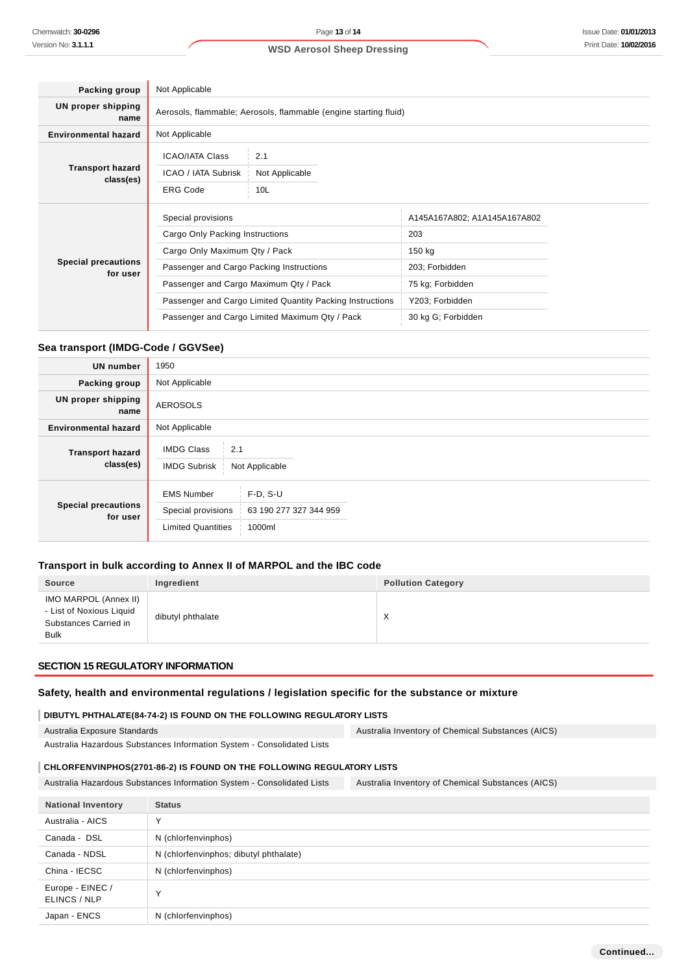| Packing group                          | Not Applicable                                                                                               |                              |  |
|----------------------------------------|--------------------------------------------------------------------------------------------------------------|------------------------------|--|
| <b>UN proper shipping</b><br>name      | Aerosols, flammable; Aerosols, flammable (engine starting fluid)                                             |                              |  |
| <b>Environmental hazard</b>            | Not Applicable                                                                                               |                              |  |
| <b>Transport hazard</b><br>class(es)   | <b>ICAO/IATA Class</b><br>2.1<br>ICAO / IATA Subrisk<br>Not Applicable<br><b>ERG Code</b><br>10 <sub>L</sub> |                              |  |
|                                        | Special provisions                                                                                           | A145A167A802; A1A145A167A802 |  |
|                                        | Cargo Only Packing Instructions                                                                              | 203                          |  |
|                                        | Cargo Only Maximum Qty / Pack                                                                                | 150 kg                       |  |
| <b>Special precautions</b><br>for user | Passenger and Cargo Packing Instructions                                                                     | 203; Forbidden               |  |
|                                        | Passenger and Cargo Maximum Qty / Pack                                                                       | 75 kg; Forbidden             |  |
|                                        | Passenger and Cargo Limited Quantity Packing Instructions                                                    | Y203; Forbidden              |  |
|                                        | Passenger and Cargo Limited Maximum Qty / Pack                                                               | 30 kg G; Forbidden           |  |

## **Sea transport (IMDG-Code / GGVSee)**

| <b>UN number</b>                       | 1950                                                                                                                   |
|----------------------------------------|------------------------------------------------------------------------------------------------------------------------|
| Packing group                          | Not Applicable                                                                                                         |
| <b>UN proper shipping</b><br>name      | <b>AEROSOLS</b>                                                                                                        |
| <b>Environmental hazard</b>            | Not Applicable                                                                                                         |
| <b>Transport hazard</b><br>class(es)   | <b>IMDG Class</b><br>2.1<br><b>IMDG Subrisk</b><br>Not Applicable                                                      |
| <b>Special precautions</b><br>for user | $F-D, S-U$<br><b>EMS Number</b><br>Special provisions<br>63 190 277 327 344 959<br><b>Limited Quantities</b><br>1000ml |

## **Transport in bulk according to Annex II of MARPOL and the IBC code**

| <b>Source</b>                                                                             | Ingredient        | <b>Pollution Category</b> |
|-------------------------------------------------------------------------------------------|-------------------|---------------------------|
| IMO MARPOL (Annex II)<br>- List of Noxious Liquid<br>Substances Carried in<br><b>Bulk</b> | dibutyl phthalate | À.<br>$\lambda$           |

# **SECTION 15 REGULATORY INFORMATION**

#### **Safety, health and environmental regulations / legislation specific for the substance or mixture**

#### **DIBUTYL PHTHALATE(84-74-2) IS FOUND ON THE FOLLOWING REGULATORY LISTS**

Australia Exposure Standards

Australia Inventory of Chemical Substances (AICS)

# Australia Hazardous Substances Information System - Consolidated Lists

# **CHLORFENVINPHOS(2701-86-2) IS FOUND ON THE FOLLOWING REGULATORY LISTS**

Australia Hazardous Substances Information System - Consolidated Lists Australia Inventory of Chemical Substances (AICS)

| <b>National Inventory</b>        | <b>Status</b>                          |
|----------------------------------|----------------------------------------|
| Australia - AICS                 | $\checkmark$                           |
| Canada - DSL                     | N (chlorfenvinphos)                    |
| Canada - NDSL                    | N (chlorfenvinphos; dibutyl phthalate) |
| China - IECSC                    | N (chlorfenvinphos)                    |
| Europe - EINEC /<br>ELINCS / NLP | $\checkmark$                           |
| Japan - ENCS                     | N (chlorfenvinphos)                    |